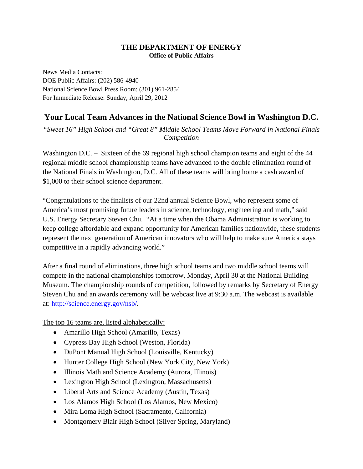News Media Contacts: DOE Public Affairs: (202) 586-4940 National Science Bowl Press Room: (301) 961-2854 For Immediate Release: Sunday, April 29, 2012

## **Your Local Team Advances in the National Science Bowl in Washington D.C.**

*"Sweet 16" High School and "Great 8" Middle School Teams Move Forward in National Finals Competition*

Washington D.C. – Sixteen of the 69 regional high school champion teams and eight of the 44 regional middle school championship teams have advanced to the double elimination round of the National Finals in Washington, D.C. All of these teams will bring home a cash award of \$1,000 to their school science department.

"Congratulations to the finalists of our 22nd annual Science Bowl, who represent some of America's most promising future leaders in science, technology, engineering and math," said U.S. Energy Secretary Steven Chu. "At a time when the Obama Administration is working to keep college affordable and expand opportunity for American families nationwide, these students represent the next generation of American innovators who will help to make sure America stays competitive in a rapidly advancing world."

After a final round of eliminations, three high school teams and two middle school teams will compete in the national championships tomorrow, Monday, April 30 at the National Building Museum. The championship rounds of competition, followed by remarks by Secretary of Energy Steven Chu and an awards ceremony will be webcast live at 9:30 a.m. The webcast is available at: [http://science.energy.gov/nsb/.](http://science.energy.gov/nsb/)

The top 16 teams are, listed alphabetically:

- Amarillo High School (Amarillo, Texas)
- Cypress Bay High School (Weston, Florida)
- DuPont Manual High School (Louisville, Kentucky)
- Hunter College High School (New York City, New York)
- Illinois Math and Science Academy (Aurora, Illinois)
- Lexington High School (Lexington, Massachusetts)
- Liberal Arts and Science Academy (Austin, Texas)
- Los Alamos High School (Los Alamos, New Mexico)
- Mira Loma High School (Sacramento, California)
- Montgomery Blair High School (Silver Spring, Maryland)